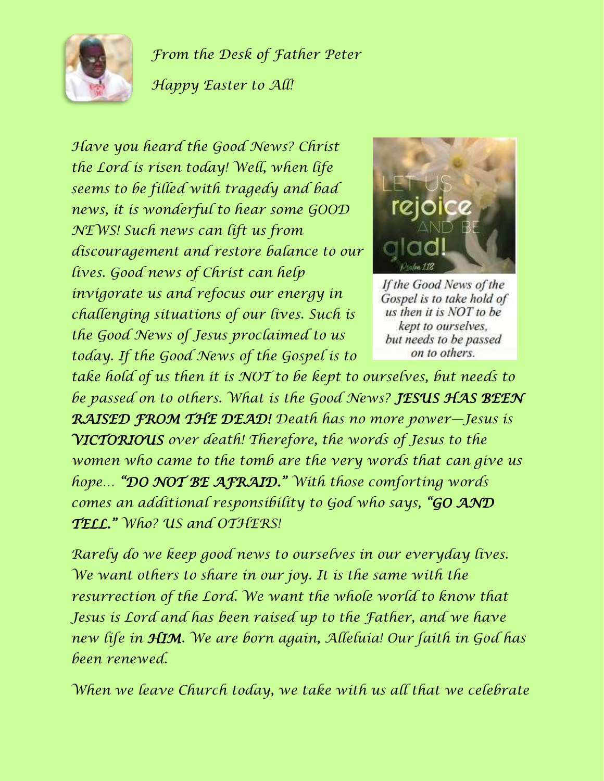

*From the Desk of Father Peter*

*Happy Easter to All!*

*Have you heard the Good News? Christ the Lord is risen today! Well, when life seems to be filled with tragedy and bad news, it is wonderful to hear some GOOD NEWS! Such news can lift us from discouragement and restore balance to our lives. Good news of Christ can help invigorate us and refocus our energy in challenging situations of our lives. Such is the Good News of Jesus proclaimed to us today. If the Good News of the Gospel is to* 



If the Good News of the Gospel is to take hold of us then it is NOT to be kept to ourselves, but needs to be passed on to others.

*take hold of us then it is NOT to be kept to ourselves, but needs to be passed on to others. What is the Good News? JESUS HAS BEEN RAISED FROM THE DEAD! Death has no more power—Jesus is VICTORIOUS over death! Therefore, the words of Jesus to the women who came to the tomb are the very words that can give us hope… "DO NOT BE AFRAID." With those comforting words comes an additional responsibility to God who says, "GO AND TELL." Who? US and OTHERS!*

*Rarely do we keep good news to ourselves in our everyday lives. We want others to share in our joy. It is the same with the resurrection of the Lord. We want the whole world to know that Jesus is Lord and has been raised up to the Father, and we have new life in HIM. We are born again, Alleluia! Our faith in God has been renewed.*

*When we leave Church today, we take with us all that we celebrate*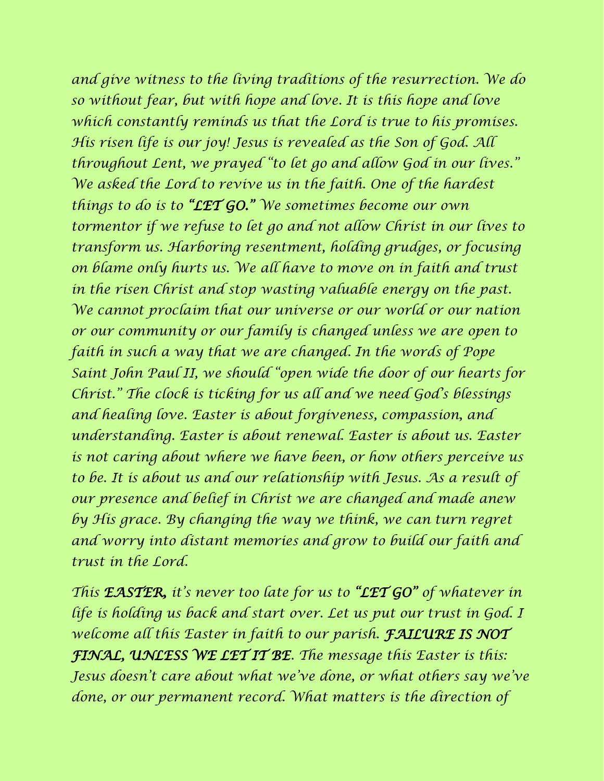*and give witness to the living traditions of the resurrection. We do so without fear, but with hope and love. It is this hope and love which constantly reminds us that the Lord is true to his promises. His risen life is our joy! Jesus is revealed as the Son of God. All throughout Lent, we prayed "to let go and allow God in our lives." We asked the Lord to revive us in the faith. One of the hardest things to do is to "LET GO." We sometimes become our own tormentor if we refuse to let go and not allow Christ in our lives to transform us. Harboring resentment, holding grudges, or focusing on blame only hurts us. We all have to move on in faith and trust in the risen Christ and stop wasting valuable energy on the past. We cannot proclaim that our universe or our world or our nation or our community or our family is changed unless we are open to faith in such a way that we are changed. In the words of Pope Saint John Paul II, we should "open wide the door of our hearts for Christ." The clock is ticking for us all and we need God's blessings and healing love. Easter is about forgiveness, compassion, and understanding. Easter is about renewal. Easter is about us. Easter is not caring about where we have been, or how others perceive us to be. It is about us and our relationship with Jesus. As a result of our presence and belief in Christ we are changed and made anew by His grace. By changing the way we think, we can turn regret and worry into distant memories and grow to build our faith and trust in the Lord.*

*This EASTER, it's never too late for us to "LET GO" of whatever in life is holding us back and start over. Let us put our trust in God. I welcome all this Easter in faith to our parish. FAILURE IS NOT FINAL, UNLESS WE LET IT BE. The message this Easter is this: Jesus doesn't care about what we've done, or what others say we've done, or our permanent record. What matters is the direction of*